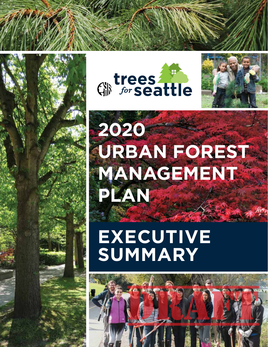





## **2020 URBAN FOREST MANAGEMENT PLAN**

**EXECUTIVE SUMMARY**

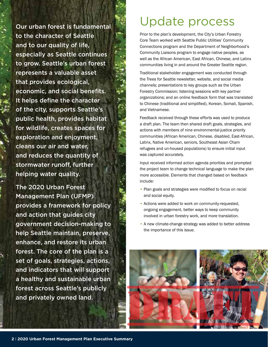Our urban forest is fundamental to the character of Seattle and to our quality of life, especially as Seattle continues to grow. Seattle's urban forest represents a valuable asset that provides ecological, economic, and social benefits. It helps define the character of the city, supports Seattle's public health, provides habitat for wildlife, creates spaces for exploration and enjoyment, cleans our air and water, and reduces the quantity of stormwater runoff, further helping water quality.

The 2020 Urban Forest Management Plan (UFMP) provides a framework for policy and action that guides city government decision-making to help Seattle maintain, preserve, enhance, and restore its urban forest. The core of the plan is a set of goals, strategies, actions, and indicators that will support a healthy and sustainable urban forest across Seattle's publicly and privately owned land.

#### Update process

Prior to the plan's development, the City's Urban Forestry Core Team worked with Seattle Public Utilities' Community Connections program and the Department of Neighborhood's Community Liaisons program to engage native peoples, as well as the African American, East African, Chinese, and Latinx communities living in and around the Greater Seattle region.

Traditional stakeholder engagement was conducted through the Trees for Seattle newsletter, website, and social media channels; presentations to key groups such as the Urban Forestry Commission; listening sessions with key partner organizations; and an online feedback form that was translated to Chinese (traditional and simplified), Korean, Somali, Spanish, and Vietnamese.

Feedback received through these efforts was used to produce a draft plan. The team then shared draft goals, strategies, and actions with members of nine environmental-justice priority communities (African American, Chinese, disabled, East-African, Latinx, Native American, seniors, Southeast Asian Cham refugees and un-housed populations) to ensure initial input was captured accurately.

Input received informed action agenda priorities and prompted the project team to change technical language to make the plan more accessible. Elements that changed based on feedback include:

- Plan goals and strategies were modified to focus on racial and social equity.
- Actions were added to work on community-requested, ongoing engagement, better ways to keep community involved in urban forestry work, and more translation.
- A new climate-change strategy was added to better address the importance of this issue.

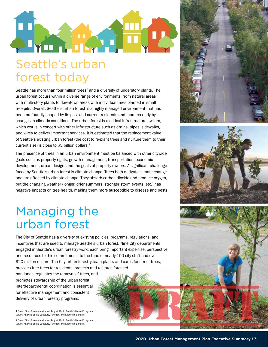

# forest today

Seattle has more than four million trees<sup>1</sup> and a diversity of understory plants. The urban forest occurs within a diverse range of environments, from natural areas with multi-story plants to downtown areas with individual trees planted in small tree-pits. Overall, Seattle's urban forest is a highly managed environment that has been profoundly shaped by its past and current residents and more recently by changes in climatic conditions. The urban forest is a critical infrastructure system, which works in concert with other infrastructure such as drains, pipes, sidewalks, and wires to deliver important services. It is estimated that the replacement value of Seattle's existing urban forest (the cost to re-plant trees and nurture them to their current size) is close to \$5 billion dollars.2

The presence of trees in an urban environment must be balanced with other citywide goals such as property rights, growth management, transportation, economic development, urban design, and the goals of property owners. A significant challenge faced by Seattle's urban forest is climate change. Trees both mitigate climate change and are affected by climate change. They absorb carbon dioxide and produce oxygen, but the changing weather (longer, drier summers, stronger storm events, etc.) has negative impacts on tree health, making them more susceptible to disease and pests.

#### Managing the urban forest

The City of Seattle has a diversity of existing policies, programs, regulations, and incentives that are used to manage Seattle's urban forest. Nine City departments engaged in Seattle's urban forestry work; each bring important expertise, perspective, and resources to this commitment—to the tune of nearly 100 city staff and over \$20 million dollars. The City urban forestry team plants and cares for street trees, provides free trees for residents, protects and restores forested

parklands, regulates the removal of trees, and promotes stewardship of the urban forest. Interdepartmental coordination is essential for effective management and consistent delivery of urban forestry programs.

1 Green Cities Research Alliance, August 2012. Seattle's Forest Ecosystem Values. Analysis of the Structure, Function, and Economic Benefits. 2 Green Cities Research Alliance, August 2012. Seattle's Forest Ecosystem Values. Analysis of the Structure, Function, and Economic Benefits.





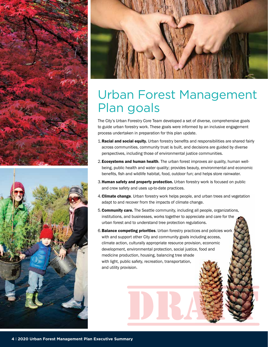





#### Urban Forest Management Plan goals

The City's Urban Forestry Core Team developed a set of diverse, comprehensive goals to guide urban forestry work. These goals were informed by an inclusive engagement process undertaken in preparation for this plan update.

- 1. Racial and social equity. Urban forestry benefits and responsibilities are shared fairly across communities, community trust is built, and decisions are guided by diverse perspectives, including those of environmental justice communities.
- 2. Ecosystems and human health. The urban forest improves air quality, human wellbeing, public health and water quality; provides beauty, environmental and economic benefits, fish and wildlife habitat, food, outdoor fun; and helps store rainwater.
- 3. Human safety and property protection. Urban forestry work is focused on public and crew safety and uses up-to-date practices.
- 4. Climate change. Urban forestry work helps people, and urban trees and vegetation adapt to and recover from the impacts of climate change.
- 5.Community care. The Seattle community, including all people, organizations, institutions, and businesses, works together to appreciate and care for the urban forest and to understand tree protection regulations.
- 6.Balance competing priorities. Urban forestry practices and policies work with and support other City and community goals including access, climate action, culturally appropriate resource provision, economic development, environmental protection, social justice, food and medicine production, housing, balancing tree shade with light, public safety, recreation, transportation, and utility provision.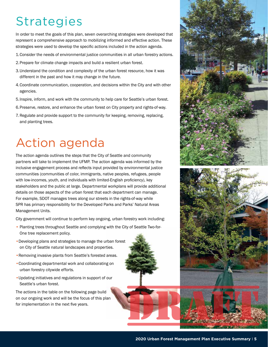## **Strategies**

In order to meet the goals of this plan, seven overarching strategies were developed that represent a comprehensive approach to mobilizing informed and effective action. These strategies were used to develop the specific actions included in the action agenda.

- 1.Consider the needs of environmental justice communities in all urban forestry actions.
- 2.Prepare for climate change impacts and build a resilient urban forest.
- 3.Understand the condition and complexity of the urban forest resource, how it was different in the past and how it may change in the future.
- 4.Coordinate communication, cooperation, and decisions within the City and with other agencies.
- 5.Inspire, inform, and work with the community to help care for Seattle's urban forest.
- 6.Preserve, restore, and enhance the urban forest on City property and rights-of-way.
- 7. Regulate and provide support to the community for keeping, removing, replacing, and planting trees.

### Action agenda

The action agenda outlines the steps that the City of Seattle and community partners will take to implement the UFMP. The action agenda was informed by the inclusive engagement process and reflects input provided by environmental justice communities (communities of color, immigrants, native peoples, refugees, people with low-incomes, youth, and individuals with limited-English proficiency), key stakeholders and the public at large. Departmental workplans will provide additional details on those aspects of the urban forest that each department can manage. For example, SDOT manages trees along our streets in the rights-of-way while SPR has primary responsibility for the Developed Parks and Parks' Natural Areas Management Units.

City government will continue to perform key ongoing, urban forestry work including:

- Planting trees throughout Seattle and complying with the City of Seattle Two-for-One tree replacement policy.
- •Developing plans and strategies to manage the urban forest on City of Seattle natural landscapes and properties.
- •Removing invasive plants from Seattle's forested areas.
- •Coordinating departmental work and collaborating on urban forestry citywide efforts.
- •Updating initiatives and regulations in support of our Seattle's urban forest.

The actions in the table on the following page build on our ongoing work and will be the focus of this plan for implementation in the next five years.

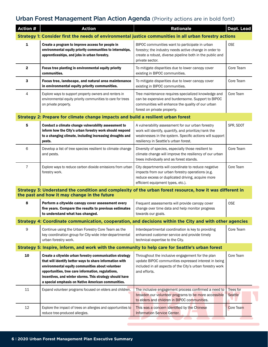#### Urban Forest Management Plan Action Agenda (Priority actions are in bold font)

| Action #                                                                                                                                                  | <b>Action</b>                                                                                                                                                                                                                                                                                                                                   | <b>Rationale</b>                                                                                                                                                                                               | Dept. Lead           |  |  |
|-----------------------------------------------------------------------------------------------------------------------------------------------------------|-------------------------------------------------------------------------------------------------------------------------------------------------------------------------------------------------------------------------------------------------------------------------------------------------------------------------------------------------|----------------------------------------------------------------------------------------------------------------------------------------------------------------------------------------------------------------|----------------------|--|--|
|                                                                                                                                                           | Strategy 1: Consider first the needs of environmental justice communities in all urban forestry actions                                                                                                                                                                                                                                         |                                                                                                                                                                                                                |                      |  |  |
| 1                                                                                                                                                         | Create a program to improve access for people in<br>environmental equity priority communities to internships,<br>apprenticeships, and jobs in urban forestry.                                                                                                                                                                                   | BIPOC communities want to participate in urban<br>forestry; the industry needs active change in order to<br>create a robust, diverse pipeline both in the public and<br>private sector.                        | <b>OSE</b>           |  |  |
| $\mathbf{2}$                                                                                                                                              | Focus tree planting in environmental equity priority<br>communities.                                                                                                                                                                                                                                                                            | To mitigate disparities due to lower canopy cover<br>existing in BIPOC communities.                                                                                                                            | Core Team            |  |  |
| 3                                                                                                                                                         | Focus tree, landscape, and natural area maintenance<br>in environmental equity priority communities.                                                                                                                                                                                                                                            | To mitigate disparities due to lower canopy cover<br>existing in BIPOC communities.                                                                                                                            | Core Team            |  |  |
| 4                                                                                                                                                         | Explore ways to support property owners and renters in<br>environmental equity priority communities to care for trees<br>on private property.                                                                                                                                                                                                   | Tree maintenance requires specialized knowledge and<br>can be expensive and burdensome. Support to BIPOC<br>communities will enhance the quality of our urban<br>forest on private property.                   | Core Team            |  |  |
| Strategy 2: Prepare for climate change impacts and build a resilient urban forest                                                                         |                                                                                                                                                                                                                                                                                                                                                 |                                                                                                                                                                                                                |                      |  |  |
| 5                                                                                                                                                         | Conduct a climate change vulnerability assessment to<br>inform how the City's urban forestry work should respond<br>to a changing climate, including increasing droughts and<br>pests.                                                                                                                                                          | A vulnerability assessment for our urban forestry<br>work will identify, quantify, and prioritize/rank the<br>weaknesses in the system. Specific actions will support<br>resiliency in Seattle's urban forest. | SPR, SDOT            |  |  |
| 6                                                                                                                                                         | Develop a list of tree species resilient to climate change<br>and pests.                                                                                                                                                                                                                                                                        | Diversity of species, especially those resilient to<br>climate change will improve the resiliency of our urban<br>trees individually and as forest stands.                                                     | Core Team            |  |  |
| $\overline{7}$                                                                                                                                            | Explore ways to reduce carbon dioxide emissions from urban<br>forestry work.                                                                                                                                                                                                                                                                    | City departments will coordinate to reduce negative<br>impacts from our urban forestry operations (e.g.<br>reduce excess or duplicated driving, acquire more<br>efficient equipment types, etc.).              | Core Team            |  |  |
| Strategy 3: Understand the condition and complexity of the urban forest resource, how it was different in<br>the past and how it may change in the future |                                                                                                                                                                                                                                                                                                                                                 |                                                                                                                                                                                                                |                      |  |  |
| 8                                                                                                                                                         | Perform a citywide canopy cover assessment every<br>five years. Compare the results to previous estimates<br>to understand what has changed.                                                                                                                                                                                                    | Frequent assessments will provide canopy cover<br>change over time data and help monitor progress<br>towards our goals.                                                                                        | <b>OSE</b>           |  |  |
|                                                                                                                                                           | Strategy 4: Coordinate communication, cooperation, and decisions within the City and with other agencies                                                                                                                                                                                                                                        |                                                                                                                                                                                                                |                      |  |  |
| 9                                                                                                                                                         | Continue using the Urban Forestry Core Team as the<br>key coordination group for City-wide inter-departmental<br>urban forestry work.                                                                                                                                                                                                           | Interdepartmental coordination is key to providing<br>enhanced customer service and provide timely<br>technical expertise to the City.                                                                         | Core Team            |  |  |
| Strategy 5: Inspire, inform, and work with the community to help care for Seattle's urban forest                                                          |                                                                                                                                                                                                                                                                                                                                                 |                                                                                                                                                                                                                |                      |  |  |
| 10                                                                                                                                                        | Create a citywide urban forestry communication strategy<br>that will identify better ways to share information with<br>environmental equity communities about volunteer<br>opportunities, tree care information, regulations,<br>incentives, and winter storms. This strategy should have<br>a special emphasis on Native American communities. | Throughout the inclusive engagement for the plan<br>update BIPOC communities expressed interest in being<br>included in all aspects of the City's urban forestry work<br>and efforts.                          | Core Team            |  |  |
| 11                                                                                                                                                        | Expand volunteer programs focused on elders and children.                                                                                                                                                                                                                                                                                       | The inclusive engagement process confirmed a need to<br>broaden our volunteer programs to be more accessible<br>to elders and children in BIPOC communities.                                                   | Trees for<br>Seattle |  |  |
| 12                                                                                                                                                        | Explore the impact of trees on allergies and opportunities to<br>reduce tree-produced allergies.                                                                                                                                                                                                                                                | This was a concern identified by the Chinese<br><b>Information Service Center.</b>                                                                                                                             | Core Team            |  |  |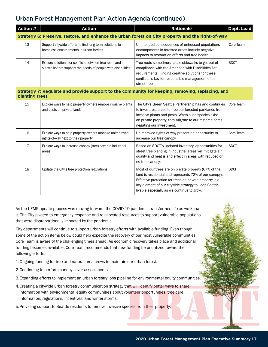#### Urban Forest Management Plan Action Agenda (continued)

| <b>Action #</b>                                                                                                   | <b>Action</b>                                                                                                           | <b>Rationale</b>                                                                                                                                                                                                                                               | Dept. Lead  |  |
|-------------------------------------------------------------------------------------------------------------------|-------------------------------------------------------------------------------------------------------------------------|----------------------------------------------------------------------------------------------------------------------------------------------------------------------------------------------------------------------------------------------------------------|-------------|--|
| Strategy 6: Preserve, restore, and enhance the urban forest on City property and the right-of-way                 |                                                                                                                         |                                                                                                                                                                                                                                                                |             |  |
| 13                                                                                                                | Support citywide efforts to find long-term solutions to<br>homeless encampments in urban forests.                       | Unintended consequences of unhoused populations<br>encampments in forested areas include negative<br>impacts to restoration efforts and tree health.                                                                                                           | Core Team   |  |
| 14                                                                                                                | Explore solutions for conflicts between tree roots and<br>sidewalks that support the needs of people with disabilities. | Tree roots sometimes cause sidewalks to get out of<br>compliance with the American with Disabilities Act<br>requirements. Finding creative solutions for these<br>conflicts is key for responsible management of our<br>street trees.                          | <b>SDOT</b> |  |
| Strategy 7: Regulate and provide support to the community for keeping, removing, replacing, and<br>planting trees |                                                                                                                         |                                                                                                                                                                                                                                                                |             |  |
| 15                                                                                                                | Explore ways to help property owners remove invasive plants<br>and pests on private land.                               | The City's Green Seattle Partnership has and continues<br>to invest resources to free our forested parklands from<br>invasive plants and pests. When such species exist<br>on private property, they migrate to our restored acres<br>negating our investment. | Core Team   |  |
| 16                                                                                                                | Explore ways to help property owners manage unimproved<br>rights-of-way next to their property                          | Unimproved rights-of-way present an opportunity to<br>increase our tree canopy.                                                                                                                                                                                | Core Team   |  |
| 17                                                                                                                | Explore ways to increase canopy (tree) cover in industrial<br>areas.                                                    | Based on SDOT's updated inventory, opportunities for<br>street tree planting in industrial areas will mitigate air<br>quality and heat island effect in areas with reduced or<br>no tree canopy.                                                               | <b>SDOT</b> |  |
| 18                                                                                                                | Update the City's tree protection regulations.                                                                          | Most of our trees are on private property (67% of the<br>land is residential and represents 72% of our canopy).<br>Effective protection for trees on private property is a<br>key element of our citywide strategy to keep Seattle                             | <b>SDCI</b> |  |

livable especially as we continue to grow.

As the UFMP update process was moving forward, the COVID-19 pandemic transformed life as we know it. The City pivoted to emergency response and re-allocated resources to support vulnerable populations that were disproportionally impacted by the pandemic.

City departments will continue to support urban forestry efforts with available funding. Even though some of the action items below could help expedite the recovery of our most vulnerable communities, Core Team is aware of the challenging times ahead. As economic recovery takes place and additional funding becomes available, Core Team recommends that new funding be prioritized toward the following efforts:

1.Ongoing funding for tree and natural area crews to maintain our urban forest.

2.Continuing to perform canopy cover assessments.

- 3.Expanding efforts to implement an urban forestry jobs pipeline for environmental equity communities.
- 4.Creating a citywide urban forestry communication strategy that will identify better ways to share information with environmental equity communities about volunteer opportunities, tree care information, regulations, incentives, and winter storms.

5.Providing support to Seattle residents to remove invasive species from their property.